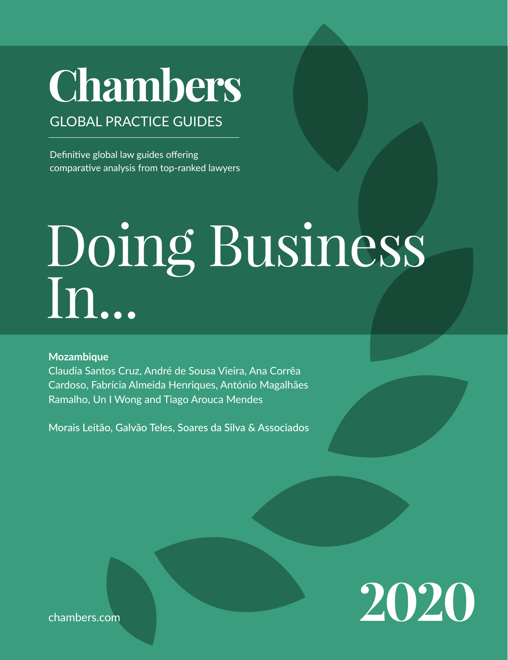## **Chambers**

## GLOBAL PRACTICE GUIDES

Definitive global law guides offering comparative analysis from top-ranked lawyers

# Doing Business In...

#### **Mozambique**

Claudia Santos Cruz, André de Sousa Vieira, Ana Corrêa Cardoso, Fabrícia Almeida Henriques, António Magalhães Ramalho, Un I Wong and Tiago Arouca Mendes

Morais Leitão, Galvão Teles, Soares da Silva & Associados



chambers.com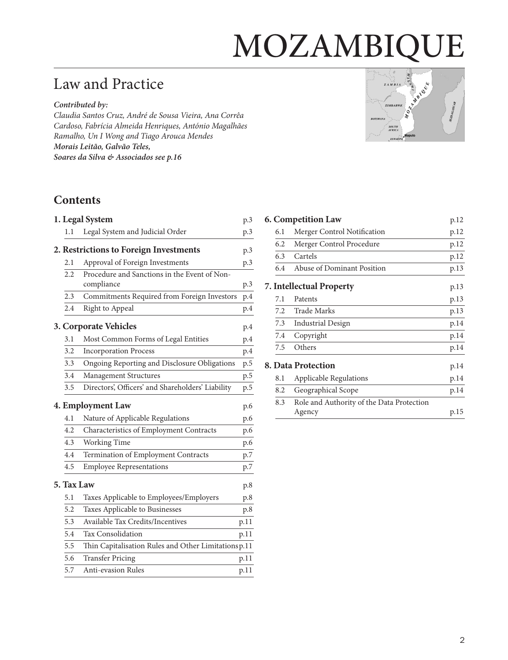## MOZAMBIQUE

## Law and Practice

#### *Contributed by:*

*Claudia Santos Cruz, André de Sousa Vieira, Ana Corrêa Cardoso, Fabrícia Almeida Henriques, António Magalhães Ramalho, Un I Wong and Tiago Arouca Mendes Morais Leitão, Galvão Teles, Soares da Silva & Associados [see p.1](#page-15-0)6*

## **Contents**

| 1. Legal System<br>Legal System and Judicial Order<br>1.1<br>2. Restrictions to Foreign Investments<br>Approval of Foreign Investments<br>2.1<br>2.2<br>Procedure and Sanctions in the Event of Non-<br>compliance<br>Commitments Required from Foreign Investors<br>2.3<br>Right to Appeal<br>2.4<br>3. Corporate Vehicles<br>3.1<br>Most Common Forms of Legal Entities<br>3.2<br><b>Incorporation Process</b><br>Ongoing Reporting and Disclosure Obligations<br>3.3<br>Management Structures<br>3.4<br>Directors', Officers' and Shareholders' Liability<br>3.5<br>Nature of Applicable Regulations<br>4.1<br>Characteristics of Employment Contracts<br>4.2<br>4.3<br>Working Time<br>Termination of Employment Contracts<br>4.4<br>4.5<br><b>Employee Representations</b><br>5. Tax Law<br>Taxes Applicable to Employees/Employers<br>5.1<br>Taxes Applicable to Businesses<br>5.2<br>Available Tax Credits/Incentives<br>5.3<br>5.4<br>Tax Consolidation<br>Thin Capitalisation Rules and Other Limitationsp.11<br>5.5<br><b>Transfer Pricing</b><br>5.6<br>Anti-evasion Rules<br>5.7 |      |     |
|----------------------------------------------------------------------------------------------------------------------------------------------------------------------------------------------------------------------------------------------------------------------------------------------------------------------------------------------------------------------------------------------------------------------------------------------------------------------------------------------------------------------------------------------------------------------------------------------------------------------------------------------------------------------------------------------------------------------------------------------------------------------------------------------------------------------------------------------------------------------------------------------------------------------------------------------------------------------------------------------------------------------------------------------------------------------------------------------|------|-----|
| 4. Employment Law                                                                                                                                                                                                                                                                                                                                                                                                                                                                                                                                                                                                                                                                                                                                                                                                                                                                                                                                                                                                                                                                            |      | p.3 |
|                                                                                                                                                                                                                                                                                                                                                                                                                                                                                                                                                                                                                                                                                                                                                                                                                                                                                                                                                                                                                                                                                              |      | p.3 |
|                                                                                                                                                                                                                                                                                                                                                                                                                                                                                                                                                                                                                                                                                                                                                                                                                                                                                                                                                                                                                                                                                              |      | p.3 |
|                                                                                                                                                                                                                                                                                                                                                                                                                                                                                                                                                                                                                                                                                                                                                                                                                                                                                                                                                                                                                                                                                              |      | p.3 |
|                                                                                                                                                                                                                                                                                                                                                                                                                                                                                                                                                                                                                                                                                                                                                                                                                                                                                                                                                                                                                                                                                              |      | p.3 |
|                                                                                                                                                                                                                                                                                                                                                                                                                                                                                                                                                                                                                                                                                                                                                                                                                                                                                                                                                                                                                                                                                              |      | p.4 |
|                                                                                                                                                                                                                                                                                                                                                                                                                                                                                                                                                                                                                                                                                                                                                                                                                                                                                                                                                                                                                                                                                              |      | p.4 |
|                                                                                                                                                                                                                                                                                                                                                                                                                                                                                                                                                                                                                                                                                                                                                                                                                                                                                                                                                                                                                                                                                              |      | p.4 |
|                                                                                                                                                                                                                                                                                                                                                                                                                                                                                                                                                                                                                                                                                                                                                                                                                                                                                                                                                                                                                                                                                              |      | p.4 |
|                                                                                                                                                                                                                                                                                                                                                                                                                                                                                                                                                                                                                                                                                                                                                                                                                                                                                                                                                                                                                                                                                              |      | p.4 |
|                                                                                                                                                                                                                                                                                                                                                                                                                                                                                                                                                                                                                                                                                                                                                                                                                                                                                                                                                                                                                                                                                              |      | p.5 |
|                                                                                                                                                                                                                                                                                                                                                                                                                                                                                                                                                                                                                                                                                                                                                                                                                                                                                                                                                                                                                                                                                              |      | p.5 |
|                                                                                                                                                                                                                                                                                                                                                                                                                                                                                                                                                                                                                                                                                                                                                                                                                                                                                                                                                                                                                                                                                              |      | p.5 |
|                                                                                                                                                                                                                                                                                                                                                                                                                                                                                                                                                                                                                                                                                                                                                                                                                                                                                                                                                                                                                                                                                              |      | p.6 |
|                                                                                                                                                                                                                                                                                                                                                                                                                                                                                                                                                                                                                                                                                                                                                                                                                                                                                                                                                                                                                                                                                              |      | p.6 |
|                                                                                                                                                                                                                                                                                                                                                                                                                                                                                                                                                                                                                                                                                                                                                                                                                                                                                                                                                                                                                                                                                              |      | p.6 |
|                                                                                                                                                                                                                                                                                                                                                                                                                                                                                                                                                                                                                                                                                                                                                                                                                                                                                                                                                                                                                                                                                              |      | p.6 |
|                                                                                                                                                                                                                                                                                                                                                                                                                                                                                                                                                                                                                                                                                                                                                                                                                                                                                                                                                                                                                                                                                              |      | p.7 |
|                                                                                                                                                                                                                                                                                                                                                                                                                                                                                                                                                                                                                                                                                                                                                                                                                                                                                                                                                                                                                                                                                              |      | p.7 |
|                                                                                                                                                                                                                                                                                                                                                                                                                                                                                                                                                                                                                                                                                                                                                                                                                                                                                                                                                                                                                                                                                              |      | p.8 |
|                                                                                                                                                                                                                                                                                                                                                                                                                                                                                                                                                                                                                                                                                                                                                                                                                                                                                                                                                                                                                                                                                              |      | p.8 |
|                                                                                                                                                                                                                                                                                                                                                                                                                                                                                                                                                                                                                                                                                                                                                                                                                                                                                                                                                                                                                                                                                              |      | p.8 |
|                                                                                                                                                                                                                                                                                                                                                                                                                                                                                                                                                                                                                                                                                                                                                                                                                                                                                                                                                                                                                                                                                              | p.11 |     |
|                                                                                                                                                                                                                                                                                                                                                                                                                                                                                                                                                                                                                                                                                                                                                                                                                                                                                                                                                                                                                                                                                              | p.11 |     |
|                                                                                                                                                                                                                                                                                                                                                                                                                                                                                                                                                                                                                                                                                                                                                                                                                                                                                                                                                                                                                                                                                              |      |     |
|                                                                                                                                                                                                                                                                                                                                                                                                                                                                                                                                                                                                                                                                                                                                                                                                                                                                                                                                                                                                                                                                                              | p.11 |     |
|                                                                                                                                                                                                                                                                                                                                                                                                                                                                                                                                                                                                                                                                                                                                                                                                                                                                                                                                                                                                                                                                                              | p.11 |     |



|     | 6. Competition Law                        | p.12 |
|-----|-------------------------------------------|------|
| 6.1 | Merger Control Notification               | p.12 |
| 6.2 | Merger Control Procedure                  | p.12 |
| 6.3 | Cartels                                   | p.12 |
| 6.4 | Abuse of Dominant Position                | p.13 |
|     | 7. Intellectual Property                  | p.13 |
| 7.1 | Patents                                   | p.13 |
| 7.2 | <b>Trade Marks</b>                        | p.13 |
|     | 7.3 Industrial Design                     | p.14 |
| 7.4 | Copyright                                 | p.14 |
| 7.5 | Others                                    | p.14 |
|     | 8. Data Protection                        | p.14 |
| 8.1 | Applicable Regulations                    | p.14 |
| 8.2 | Geographical Scope                        | p.14 |
| 8.3 | Role and Authority of the Data Protection |      |
|     | Agency                                    | p.15 |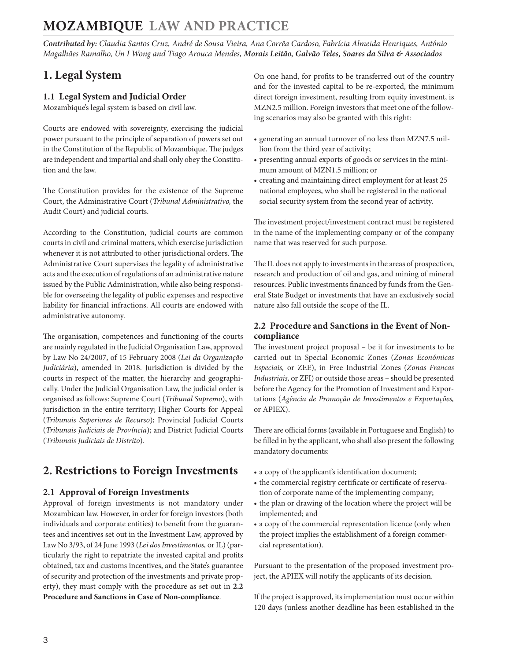<span id="page-2-0"></span>*Contributed by: Claudia Santos Cruz, André de Sousa Vieira, Ana Corrêa Cardoso, Fabrícia Almeida Henriques, António Magalhães Ramalho, Un I Wong and Tiago Arouca Mendes, Morais Leitão, Galvão Teles, Soares da Silva & Associados* 

### **1. Legal System**

#### **1.1 Legal System and Judicial Order**

Mozambique's legal system is based on civil law.

Courts are endowed with sovereignty, exercising the judicial power pursuant to the principle of separation of powers set out in the Constitution of the Republic of Mozambique. The judges are independent and impartial and shall only obey the Constitution and the law.

The Constitution provides for the existence of the Supreme Court, the Administrative Court (*Tribunal Administrativo,* the Audit Court) and judicial courts.

According to the Constitution, judicial courts are common courts in civil and criminal matters, which exercise jurisdiction whenever it is not attributed to other jurisdictional orders. The Administrative Court supervises the legality of administrative acts and the execution of regulations of an administrative nature issued by the Public Administration, while also being responsible for overseeing the legality of public expenses and respective liability for financial infractions. All courts are endowed with administrative autonomy.

The organisation, competences and functioning of the courts are mainly regulated in the Judicial Organisation Law, approved by Law No 24/2007, of 15 February 2008 (*Lei da Organização Judiciária*), amended in 2018. Jurisdiction is divided by the courts in respect of the matter, the hierarchy and geographically. Under the Judicial Organisation Law, the judicial order is organised as follows: Supreme Court (*Tribunal Supremo*), with jurisdiction in the entire territory; Higher Courts for Appeal (*Tribunais Superiores de Recurso*); Provincial Judicial Courts (*Tribunais Judiciais de Província*); and District Judicial Courts (*Tribunais Judiciais de Distrito*).

## **2. Restrictions to Foreign Investments**

#### **2.1 Approval of Foreign Investments**

Approval of foreign investments is not mandatory under Mozambican law. However, in order for foreign investors (both individuals and corporate entities) to benefit from the guarantees and incentives set out in the Investment Law, approved by Law No 3/93, of 24 June 1993 (*Lei dos Investimentos,* or IL) (particularly the right to repatriate the invested capital and profits obtained, tax and customs incentives, and the State's guarantee of security and protection of the investments and private property), they must comply with the procedure as set out in **2.2 Procedure and Sanctions in Case of Non-compliance**.

On one hand, for profits to be transferred out of the country and for the invested capital to be re-exported, the minimum direct foreign investment, resulting from equity investment, is MZN2.5 million. Foreign investors that meet one of the following scenarios may also be granted with this right:

- generating an annual turnover of no less than MZN7.5 million from the third year of activity;
- presenting annual exports of goods or services in the minimum amount of MZN1.5 million; or
- creating and maintaining direct employment for at least 25 national employees, who shall be registered in the national social security system from the second year of activity.

The investment project/investment contract must be registered in the name of the implementing company or of the company name that was reserved for such purpose.

The IL does not apply to investments in the areas of prospection, research and production of oil and gas, and mining of mineral resources. Public investments financed by funds from the General State Budget or investments that have an exclusively social nature also fall outside the scope of the IL.

#### **2.2 Procedure and Sanctions in the Event of Noncompliance**

The investment project proposal – be it for investments to be carried out in Special Economic Zones (*Zonas Económicas Especiais,* or ZEE), in Free Industrial Zones (*Zonas Francas Industriais,* or ZFI) or outside those areas – should be presented before the Agency for the Promotion of Investment and Exportations (*Agência de Promoção de Investimentos e Exportações,* or APIEX).

There are official forms (available in Portuguese and English) to be filled in by the applicant, who shall also present the following mandatory documents:

- a copy of the applicant's identification document;
- the commercial registry certificate or certificate of reservation of corporate name of the implementing company;
- the plan or drawing of the location where the project will be implemented; and
- a copy of the commercial representation licence (only when the project implies the establishment of a foreign commercial representation).

Pursuant to the presentation of the proposed investment project, the APIEX will notify the applicants of its decision.

If the project is approved, its implementation must occur within 120 days (unless another deadline has been established in the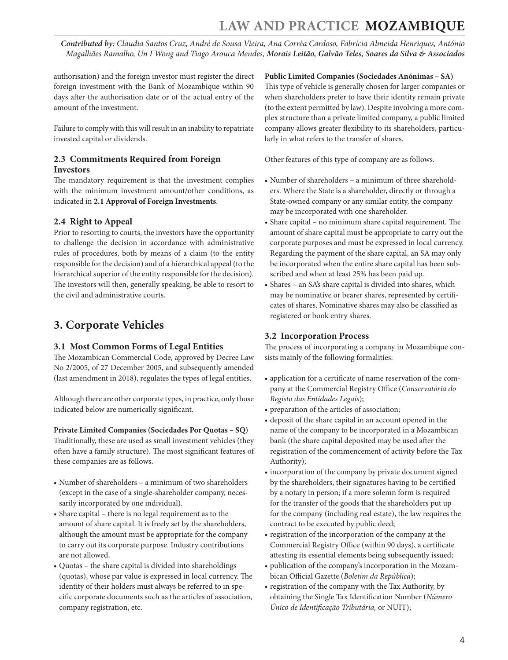<span id="page-3-0"></span>*Contributed by: Claudia Santos Cruz, André de Sousa Vieira, Ana Corrêa Cardoso, Fabrícia Almeida Henriques, António Magalhães Ramalho, Un I Wong and Tiago Arouca Mendes, Morais Leitão, Galvão Teles, Soares da Silva & Associados* 

authorisation) and the foreign investor must register the direct foreign investment with the Bank of Mozambique within 90 days after the authorisation date or of the actual entry of the amount of the investment.

Failure to comply with this will result in an inability to repatriate invested capital or dividends.

#### **2.3 Commitments Required from Foreign Investors**

The mandatory requirement is that the investment complies with the minimum investment amount/other conditions, as indicated in **2.1 Approval of Foreign Investments**.

#### **2.4 Right to Appeal**

Prior to resorting to courts, the investors have the opportunity to challenge the decision in accordance with administrative rules of procedures, both by means of a claim (to the entity responsible for the decision) and of a hierarchical appeal (to the hierarchical superior of the entity responsible for the decision). The investors will then, generally speaking, be able to resort to the civil and administrative courts.

#### **3. Corporate Vehicles**

#### **3.1 Most Common Forms of Legal Entities**

The Mozambican Commercial Code, approved by Decree Law No 2/2005, of 27 December 2005, and subsequently amended (last amendment in 2018), regulates the types of legal entities.

Although there are other corporate types, in practice, only those indicated below are numerically significant.

#### **Private Limited Companies (Sociedades Por Quotas – SQ)**

Traditionally, these are used as small investment vehicles (they often have a family structure). The most significant features of these companies are as follows.

- Number of shareholders a minimum of two shareholders (except in the case of a single-shareholder company, necessarily incorporated by one individual).
- Share capital there is no legal requirement as to the amount of share capital. It is freely set by the shareholders, although the amount must be appropriate for the company to carry out its corporate purpose. Industry contributions are not allowed.
- Quotas the share capital is divided into shareholdings (quotas), whose par value is expressed in local currency. The identity of their holders must always be referred to in specific corporate documents such as the articles of association, company registration, etc.

**Public Limited Companies (Sociedades Anónimas – SA)** This type of vehicle is generally chosen for larger companies or when shareholders prefer to have their identity remain private (to the extent permitted by law). Despite involving a more complex structure than a private limited company, a public limited company allows greater flexibility to its shareholders, particularly in what refers to the transfer of shares.

Other features of this type of company are as follows.

- Number of shareholders a minimum of three shareholders. Where the State is a shareholder, directly or through a State-owned company or any similar entity, the company may be incorporated with one shareholder.
- Share capital no minimum share capital requirement. The amount of share capital must be appropriate to carry out the corporate purposes and must be expressed in local currency. Regarding the payment of the share capital, an SA may only be incorporated when the entire share capital has been subscribed and when at least 25% has been paid up.
- Shares an SA's share capital is divided into shares, which may be nominative or bearer shares, represented by certificates of shares. Nominative shares may also be classified as registered or book entry shares.

#### **3.2 Incorporation Process**

The process of incorporating a company in Mozambique consists mainly of the following formalities:

- application for a certificate of name reservation of the company at the Commercial Registry Office (*Conservatória do Registo das Entidades Legais*);
- preparation of the articles of association;
- deposit of the share capital in an account opened in the name of the company to be incorporated in a Mozambican bank (the share capital deposited may be used after the registration of the commencement of activity before the Tax Authority);
- incorporation of the company by private document signed by the shareholders, their signatures having to be certified by a notary in person; if a more solemn form is required for the transfer of the goods that the shareholders put up for the company (including real estate), the law requires the contract to be executed by public deed;
- registration of the incorporation of the company at the Commercial Registry Office (within 90 days), a certificate attesting its essential elements being subsequently issued;
- publication of the company's incorporation in the Mozambican Official Gazette (*Boletim da República*);
- registration of the company with the Tax Authority, by obtaining the Single Tax Identification Number (*Número Único de Identificação Tributária,* or NUIT);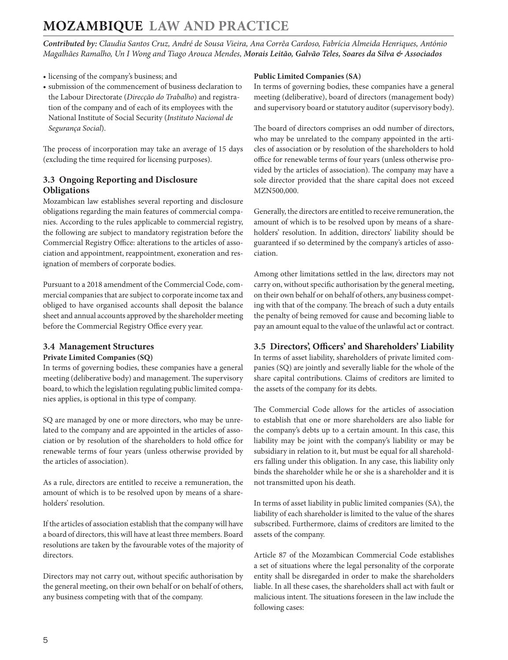<span id="page-4-0"></span>*Contributed by: Claudia Santos Cruz, André de Sousa Vieira, Ana Corrêa Cardoso, Fabrícia Almeida Henriques, António Magalhães Ramalho, Un I Wong and Tiago Arouca Mendes, Morais Leitão, Galvão Teles, Soares da Silva & Associados* 

- licensing of the company's business; and
- submission of the commencement of business declaration to the Labour Directorate (*Direcção do Trabalho*) and registration of the company and of each of its employees with the National Institute of Social Security (*Instituto Nacional de Segurança Social*).

The process of incorporation may take an average of 15 days (excluding the time required for licensing purposes).

#### **3.3 Ongoing Reporting and Disclosure Obligations**

Mozambican law establishes several reporting and disclosure obligations regarding the main features of commercial companies. According to the rules applicable to commercial registry, the following are subject to mandatory registration before the Commercial Registry Office: alterations to the articles of association and appointment, reappointment, exoneration and resignation of members of corporate bodies.

Pursuant to a 2018 amendment of the Commercial Code, commercial companies that are subject to corporate income tax and obliged to have organised accounts shall deposit the balance sheet and annual accounts approved by the shareholder meeting before the Commercial Registry Office every year.

#### **3.4 Management Structures**

#### **Private Limited Companies (SQ)**

In terms of governing bodies, these companies have a general meeting (deliberative body) and management. The supervisory board, to which the legislation regulating public limited companies applies, is optional in this type of company.

SQ are managed by one or more directors, who may be unrelated to the company and are appointed in the articles of association or by resolution of the shareholders to hold office for renewable terms of four years (unless otherwise provided by the articles of association).

As a rule, directors are entitled to receive a remuneration, the amount of which is to be resolved upon by means of a shareholders' resolution.

If the articles of association establish that the company will have a board of directors, this will have at least three members. Board resolutions are taken by the favourable votes of the majority of directors.

Directors may not carry out, without specific authorisation by the general meeting, on their own behalf or on behalf of others, any business competing with that of the company.

#### **Public Limited Companies (SA)**

In terms of governing bodies, these companies have a general meeting (deliberative), board of directors (management body) and supervisory board or statutory auditor (supervisory body).

The board of directors comprises an odd number of directors, who may be unrelated to the company appointed in the articles of association or by resolution of the shareholders to hold office for renewable terms of four years (unless otherwise provided by the articles of association). The company may have a sole director provided that the share capital does not exceed MZN500,000.

Generally, the directors are entitled to receive remuneration, the amount of which is to be resolved upon by means of a shareholders' resolution. In addition, directors' liability should be guaranteed if so determined by the company's articles of association.

Among other limitations settled in the law, directors may not carry on, without specific authorisation by the general meeting, on their own behalf or on behalf of others, any business competing with that of the company. The breach of such a duty entails the penalty of being removed for cause and becoming liable to pay an amount equal to the value of the unlawful act or contract.

#### **3.5 Directors', Officers' and Shareholders' Liability**

In terms of asset liability, shareholders of private limited companies (SQ) are jointly and severally liable for the whole of the share capital contributions. Claims of creditors are limited to the assets of the company for its debts.

The Commercial Code allows for the articles of association to establish that one or more shareholders are also liable for the company's debts up to a certain amount. In this case, this liability may be joint with the company's liability or may be subsidiary in relation to it, but must be equal for all shareholders falling under this obligation. In any case, this liability only binds the shareholder while he or she is a shareholder and it is not transmitted upon his death.

In terms of asset liability in public limited companies (SA), the liability of each shareholder is limited to the value of the shares subscribed. Furthermore, claims of creditors are limited to the assets of the company.

Article 87 of the Mozambican Commercial Code establishes a set of situations where the legal personality of the corporate entity shall be disregarded in order to make the shareholders liable. In all these cases, the shareholders shall act with fault or malicious intent. The situations foreseen in the law include the following cases: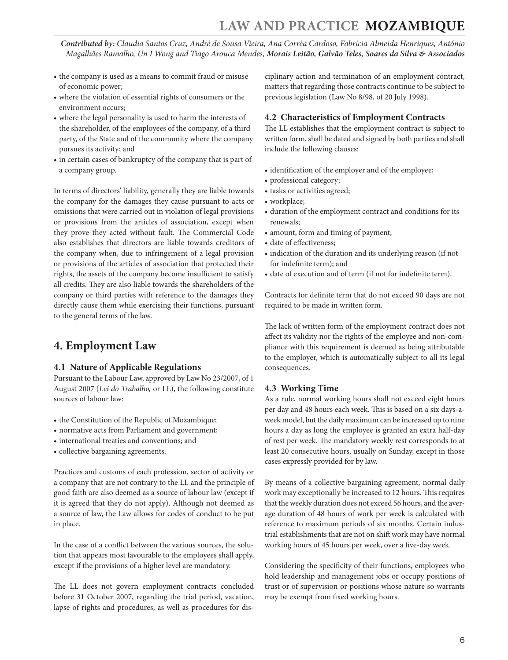<span id="page-5-0"></span>*Contributed by: Claudia Santos Cruz, André de Sousa Vieira, Ana Corrêa Cardoso, Fabrícia Almeida Henriques, António Magalhães Ramalho, Un I Wong and Tiago Arouca Mendes, Morais Leitão, Galvão Teles, Soares da Silva & Associados* 

- the company is used as a means to commit fraud or misuse of economic power;
- where the violation of essential rights of consumers or the environment occurs;
- where the legal personality is used to harm the interests of the shareholder, of the employees of the company, of a third party, of the State and of the community where the company pursues its activity; and
- in certain cases of bankruptcy of the company that is part of a company group.

In terms of directors' liability, generally they are liable towards the company for the damages they cause pursuant to acts or omissions that were carried out in violation of legal provisions or provisions from the articles of association, except when they prove they acted without fault. The Commercial Code also establishes that directors are liable towards creditors of the company when, due to infringement of a legal provision or provisions of the articles of association that protected their rights, the assets of the company become insufficient to satisfy all credits. They are also liable towards the shareholders of the company or third parties with reference to the damages they directly cause them while exercising their functions, pursuant to the general terms of the law.

#### **4. Employment Law**

#### **4.1 Nature of Applicable Regulations**

Pursuant to the Labour Law, approved by Law No 23/2007, of 1 August 2007 (*Lei do Trabalho,* or LL), the following constitute sources of labour law:

- the Constitution of the Republic of Mozambique;
- normative acts from Parliament and government;
- international treaties and conventions; and
- collective bargaining agreements.

Practices and customs of each profession, sector of activity or a company that are not contrary to the LL and the principle of good faith are also deemed as a source of labour law (except if it is agreed that they do not apply). Although not deemed as a source of law, the Law allows for codes of conduct to be put in place.

In the case of a conflict between the various sources, the solution that appears most favourable to the employees shall apply, except if the provisions of a higher level are mandatory.

The LL does not govern employment contracts concluded before 31 October 2007, regarding the trial period, vacation, lapse of rights and procedures, as well as procedures for disciplinary action and termination of an employment contract, matters that regarding those contracts continue to be subject to previous legislation (Law No 8/98, of 20 July 1998).

#### **4.2 Characteristics of Employment Contracts**

The LL establishes that the employment contract is subject to written form, shall be dated and signed by both parties and shall include the following clauses:

- identification of the employer and of the employee;
- professional category;
- tasks or activities agreed;
- workplace;
- duration of the employment contract and conditions for its renewals;
- amount, form and timing of payment;
- date of effectiveness;
- indication of the duration and its underlying reason (if not for indefinite term); and
- date of execution and of term (if not for indefinite term).

Contracts for definite term that do not exceed 90 days are not required to be made in written form.

The lack of written form of the employment contract does not affect its validity nor the rights of the employee and non-compliance with this requirement is deemed as being attributable to the employer, which is automatically subject to all its legal consequences.

#### **4.3 Working Time**

As a rule, normal working hours shall not exceed eight hours per day and 48 hours each week. This is based on a six days-aweek model, but the daily maximum can be increased up to nine hours a day as long the employee is granted an extra half-day of rest per week. The mandatory weekly rest corresponds to at least 20 consecutive hours, usually on Sunday, except in those cases expressly provided for by law.

By means of a collective bargaining agreement, normal daily work may exceptionally be increased to 12 hours. This requires that the weekly duration does not exceed 56 hours, and the average duration of 48 hours of work per week is calculated with reference to maximum periods of six months. Certain industrial establishments that are not on shift work may have normal working hours of 45 hours per week, over a five-day week.

Considering the specificity of their functions, employees who hold leadership and management jobs or occupy positions of trust or of supervision or positions whose nature so warrants may be exempt from fixed working hours.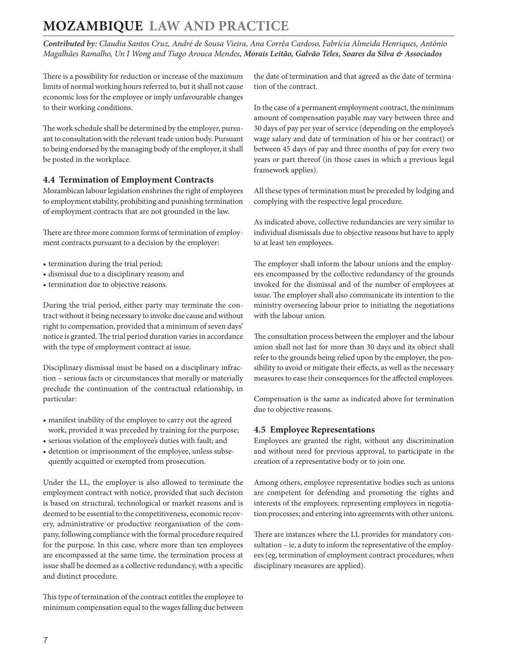<span id="page-6-0"></span>*Contributed by: Claudia Santos Cruz, André de Sousa Vieira, Ana Corrêa Cardoso, Fabrícia Almeida Henriques, António Magalhães Ramalho, Un I Wong and Tiago Arouca Mendes, Morais Leitão, Galvão Teles, Soares da Silva & Associados* 

There is a possibility for reduction or increase of the maximum limits of normal working hours referred to, but it shall not cause economic loss for the employee or imply unfavourable changes to their working conditions.

The work schedule shall be determined by the employer, pursuant to consultation with the relevant trade union body. Pursuant to being endorsed by the managing body of the employer, it shall be posted in the workplace.

#### **4.4 Termination of Employment Contracts**

Mozambican labour legislation enshrines the right of employees to employment stability, prohibiting and punishing termination of employment contracts that are not grounded in the law.

There are three more common forms of termination of employment contracts pursuant to a decision by the employer:

- termination during the trial period;
- dismissal due to a disciplinary reason; and
- termination due to objective reasons.

During the trial period, either party may terminate the contract without it being necessary to invoke due cause and without right to compensation, provided that a minimum of seven days' notice is granted. The trial period duration varies in accordance with the type of employment contract at issue.

Disciplinary dismissal must be based on a disciplinary infraction – serious facts or circumstances that morally or materially preclude the continuation of the contractual relationship, in particular:

- manifest inability of the employee to carry out the agreed work, provided it was preceded by training for the purpose;
- serious violation of the employee's duties with fault; and
- detention or imprisonment of the employee, unless subsequently acquitted or exempted from prosecution.

Under the LL, the employer is also allowed to terminate the employment contract with notice, provided that such decision is based on structural, technological or market reasons and is deemed to be essential to the competitiveness, economic recovery, administrative or productive reorganisation of the company, following compliance with the formal procedure required for the purpose. In this case, where more than ten employees are encompassed at the same time, the termination process at issue shall be deemed as a collective redundancy, with a specific and distinct procedure.

This type of termination of the contract entitles the employee to minimum compensation equal to the wages falling due between the date of termination and that agreed as the date of termination of the contract.

In the case of a permanent employment contract, the minimum amount of compensation payable may vary between three and 30 days of pay per year of service (depending on the employee's wage salary and date of termination of his or her contract) or between 45 days of pay and three months of pay for every two years or part thereof (in those cases in which a previous legal framework applies).

All these types of termination must be preceded by lodging and complying with the respective legal procedure.

As indicated above, collective redundancies are very similar to individual dismissals due to objective reasons but have to apply to at least ten employees.

The employer shall inform the labour unions and the employees encompassed by the collective redundancy of the grounds invoked for the dismissal and of the number of employees at issue. The employer shall also communicate its intention to the ministry overseeing labour prior to initiating the negotiations with the labour union.

The consultation process between the employer and the labour union shall not last for more than 30 days and its object shall refer to the grounds being relied upon by the employer, the possibility to avoid or mitigate their effects, as well as the necessary measures to ease their consequences for the affected employees.

Compensation is the same as indicated above for termination due to objective reasons.

#### **4.5 Employee Representations**

Employees are granted the right, without any discrimination and without need for previous approval, to participate in the creation of a representative body or to join one.

Among others, employee representative bodies such as unions are competent for defending and promoting the rights and interests of the employees; representing employees in negotiation processes; and entering into agreements with other unions.

There are instances where the LL provides for mandatory consultation – ie, a duty to inform the representative of the employees (eg, termination of employment contract procedures; when disciplinary measures are applied).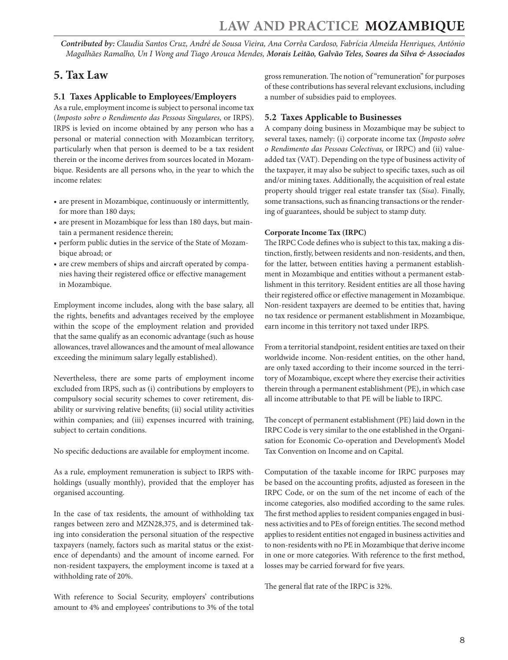<span id="page-7-0"></span>*Contributed by: Claudia Santos Cruz, André de Sousa Vieira, Ana Corrêa Cardoso, Fabrícia Almeida Henriques, António Magalhães Ramalho, Un I Wong and Tiago Arouca Mendes, Morais Leitão, Galvão Teles, Soares da Silva & Associados* 

#### **5. Tax Law**

#### **5.1 Taxes Applicable to Employees/Employers**

As a rule, employment income is subject to personal income tax (*Imposto sobre o Rendimento das Pessoas Singulares,* or IRPS). IRPS is levied on income obtained by any person who has a personal or material connection with Mozambican territory, particularly when that person is deemed to be a tax resident therein or the income derives from sources located in Mozambique. Residents are all persons who, in the year to which the income relates:

- are present in Mozambique, continuously or intermittently, for more than 180 days;
- are present in Mozambique for less than 180 days, but maintain a permanent residence therein;
- perform public duties in the service of the State of Mozambique abroad; or
- are crew members of ships and aircraft operated by companies having their registered office or effective management in Mozambique.

Employment income includes, along with the base salary, all the rights, benefits and advantages received by the employee within the scope of the employment relation and provided that the same qualify as an economic advantage (such as house allowances, travel allowances and the amount of meal allowance exceeding the minimum salary legally established).

Nevertheless, there are some parts of employment income excluded from IRPS, such as (i) contributions by employers to compulsory social security schemes to cover retirement, disability or surviving relative benefits; (ii) social utility activities within companies; and (iii) expenses incurred with training, subject to certain conditions.

No specific deductions are available for employment income.

As a rule, employment remuneration is subject to IRPS withholdings (usually monthly), provided that the employer has organised accounting.

In the case of tax residents, the amount of withholding tax ranges between zero and MZN28,375, and is determined taking into consideration the personal situation of the respective taxpayers (namely, factors such as marital status or the existence of dependants) and the amount of income earned. For non-resident taxpayers, the employment income is taxed at a withholding rate of 20%.

With reference to Social Security, employers' contributions amount to 4% and employees' contributions to 3% of the total

gross remuneration. The notion of "remuneration" for purposes of these contributions has several relevant exclusions, including a number of subsidies paid to employees.

#### **5.2 Taxes Applicable to Businesses**

A company doing business in Mozambique may be subject to several taxes, namely: (i) corporate income tax (*Imposto sobre o Rendimento das Pessoas Colectivas,* or IRPC) and (ii) valueadded tax (VAT). Depending on the type of business activity of the taxpayer, it may also be subject to specific taxes, such as oil and/or mining taxes. Additionally, the acquisition of real estate property should trigger real estate transfer tax (*Sisa*). Finally, some transactions, such as financing transactions or the rendering of guarantees, should be subject to stamp duty.

#### **Corporate Income Tax (IRPC)**

The IRPC Code defines who is subject to this tax, making a distinction, firstly, between residents and non-residents, and then, for the latter, between entities having a permanent establishment in Mozambique and entities without a permanent establishment in this territory. Resident entities are all those having their registered office or effective management in Mozambique. Non-resident taxpayers are deemed to be entities that, having no tax residence or permanent establishment in Mozambique, earn income in this territory not taxed under IRPS.

From a territorial standpoint, resident entities are taxed on their worldwide income. Non-resident entities, on the other hand, are only taxed according to their income sourced in the territory of Mozambique, except where they exercise their activities therein through a permanent establishment (PE), in which case all income attributable to that PE will be liable to IRPC.

The concept of permanent establishment (PE) laid down in the IRPC Code is very similar to the one established in the Organisation for Economic Co-operation and Development's Model Tax Convention on Income and on Capital.

Computation of the taxable income for IRPC purposes may be based on the accounting profits, adjusted as foreseen in the IRPC Code, or on the sum of the net income of each of the income categories, also modified according to the same rules. The first method applies to resident companies engaged in business activities and to PEs of foreign entities. The second method applies to resident entities not engaged in business activities and to non-residents with no PE in Mozambique that derive income in one or more categories. With reference to the first method, losses may be carried forward for five years.

The general flat rate of the IRPC is 32%.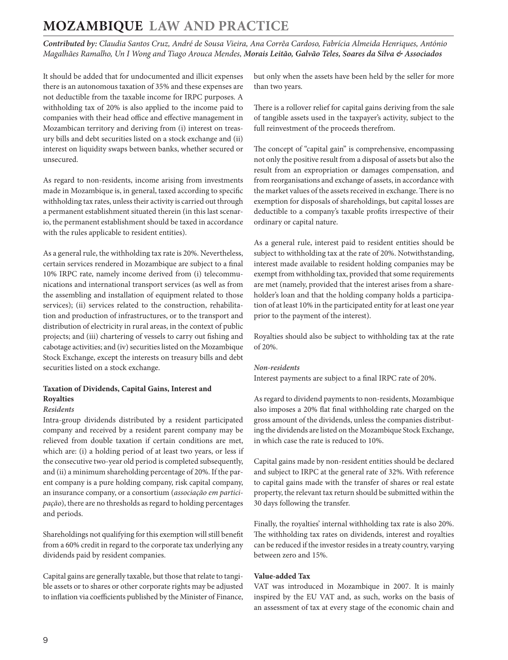*Contributed by: Claudia Santos Cruz, André de Sousa Vieira, Ana Corrêa Cardoso, Fabrícia Almeida Henriques, António Magalhães Ramalho, Un I Wong and Tiago Arouca Mendes, Morais Leitão, Galvão Teles, Soares da Silva & Associados* 

It should be added that for undocumented and illicit expenses there is an autonomous taxation of 35% and these expenses are not deductible from the taxable income for IRPC purposes. A withholding tax of 20% is also applied to the income paid to companies with their head office and effective management in Mozambican territory and deriving from (i) interest on treasury bills and debt securities listed on a stock exchange and (ii) interest on liquidity swaps between banks, whether secured or unsecured.

As regard to non-residents, income arising from investments made in Mozambique is, in general, taxed according to specific withholding tax rates, unless their activity is carried out through a permanent establishment situated therein (in this last scenario, the permanent establishment should be taxed in accordance with the rules applicable to resident entities).

As a general rule, the withholding tax rate is 20%. Nevertheless, certain services rendered in Mozambique are subject to a final 10% IRPC rate, namely income derived from (i) telecommunications and international transport services (as well as from the assembling and installation of equipment related to those services); (ii) services related to the construction, rehabilitation and production of infrastructures, or to the transport and distribution of electricity in rural areas, in the context of public projects; and (iii) chartering of vessels to carry out fishing and cabotage activities; and (iv) securities listed on the Mozambique Stock Exchange, except the interests on treasury bills and debt securities listed on a stock exchange.

#### **Taxation of Dividends, Capital Gains, Interest and Royalties**

#### *Residents*

Intra-group dividends distributed by a resident participated company and received by a resident parent company may be relieved from double taxation if certain conditions are met, which are: (i) a holding period of at least two years, or less if the consecutive two-year old period is completed subsequently, and (ii) a minimum shareholding percentage of 20%. If the parent company is a pure holding company, risk capital company, an insurance company, or a consortium (*associação em participação*), there are no thresholds as regard to holding percentages and periods.

Shareholdings not qualifying for this exemption will still benefit from a 60% credit in regard to the corporate tax underlying any dividends paid by resident companies.

Capital gains are generally taxable, but those that relate to tangible assets or to shares or other corporate rights may be adjusted to inflation via coefficients published by the Minister of Finance, but only when the assets have been held by the seller for more than two years.

There is a rollover relief for capital gains deriving from the sale of tangible assets used in the taxpayer's activity, subject to the full reinvestment of the proceeds therefrom.

The concept of "capital gain" is comprehensive, encompassing not only the positive result from a disposal of assets but also the result from an expropriation or damages compensation, and from reorganisations and exchange of assets, in accordance with the market values of the assets received in exchange. There is no exemption for disposals of shareholdings, but capital losses are deductible to a company's taxable profits irrespective of their ordinary or capital nature.

As a general rule, interest paid to resident entities should be subject to withholding tax at the rate of 20%. Notwithstanding, interest made available to resident holding companies may be exempt from withholding tax, provided that some requirements are met (namely, provided that the interest arises from a shareholder's loan and that the holding company holds a participation of at least 10% in the participated entity for at least one year prior to the payment of the interest).

Royalties should also be subject to withholding tax at the rate of 20%.

#### *Non-residents*

Interest payments are subject to a final IRPC rate of 20%.

As regard to dividend payments to non-residents, Mozambique also imposes a 20% flat final withholding rate charged on the gross amount of the dividends, unless the companies distributing the dividends are listed on the Mozambique Stock Exchange, in which case the rate is reduced to 10%.

Capital gains made by non-resident entities should be declared and subject to IRPC at the general rate of 32%. With reference to capital gains made with the transfer of shares or real estate property, the relevant tax return should be submitted within the 30 days following the transfer.

Finally, the royalties' internal withholding tax rate is also 20%. The withholding tax rates on dividends, interest and royalties can be reduced if the investor resides in a treaty country, varying between zero and 15%.

#### **Value-added Tax**

VAT was introduced in Mozambique in 2007. It is mainly inspired by the EU VAT and, as such, works on the basis of an assessment of tax at every stage of the economic chain and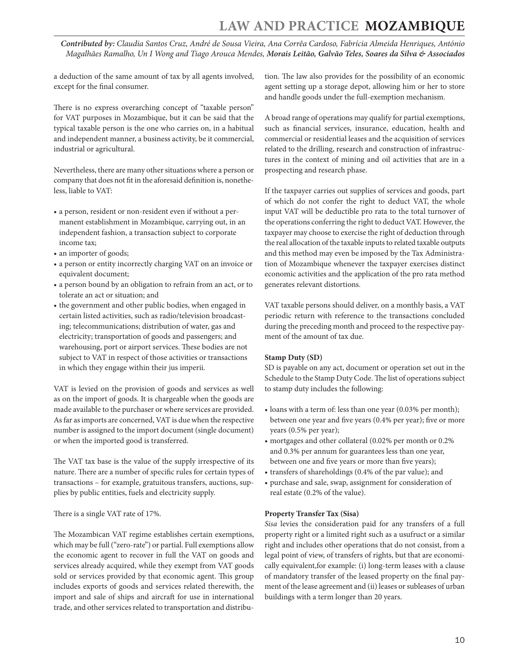*Contributed by: Claudia Santos Cruz, André de Sousa Vieira, Ana Corrêa Cardoso, Fabrícia Almeida Henriques, António Magalhães Ramalho, Un I Wong and Tiago Arouca Mendes, Morais Leitão, Galvão Teles, Soares da Silva & Associados* 

a deduction of the same amount of tax by all agents involved, except for the final consumer.

There is no express overarching concept of "taxable person" for VAT purposes in Mozambique, but it can be said that the typical taxable person is the one who carries on, in a habitual and independent manner, a business activity, be it commercial, industrial or agricultural.

Nevertheless, there are many other situations where a person or company that does not fit in the aforesaid definition is, nonetheless, liable to VAT:

- a person, resident or non-resident even if without a permanent establishment in Mozambique, carrying out, in an independent fashion, a transaction subject to corporate income tax;
- an importer of goods;
- a person or entity incorrectly charging VAT on an invoice or equivalent document;
- a person bound by an obligation to refrain from an act, or to tolerate an act or situation; and
- the government and other public bodies, when engaged in certain listed activities, such as radio/television broadcasting; telecommunications; distribution of water, gas and electricity; transportation of goods and passengers; and warehousing, port or airport services. These bodies are not subject to VAT in respect of those activities or transactions in which they engage within their jus imperii.

VAT is levied on the provision of goods and services as well as on the import of goods. It is chargeable when the goods are made available to the purchaser or where services are provided. As far as imports are concerned, VAT is due when the respective number is assigned to the import document (single document) or when the imported good is transferred.

The VAT tax base is the value of the supply irrespective of its nature. There are a number of specific rules for certain types of transactions – for example, gratuitous transfers, auctions, supplies by public entities, fuels and electricity supply.

There is a single VAT rate of 17%.

The Mozambican VAT regime establishes certain exemptions, which may be full ("zero-rate") or partial. Full exemptions allow the economic agent to recover in full the VAT on goods and services already acquired, while they exempt from VAT goods sold or services provided by that economic agent. This group includes exports of goods and services related therewith, the import and sale of ships and aircraft for use in international trade, and other services related to transportation and distribution. The law also provides for the possibility of an economic agent setting up a storage depot, allowing him or her to store and handle goods under the full-exemption mechanism.

A broad range of operations may qualify for partial exemptions, such as financial services, insurance, education, health and commercial or residential leases and the acquisition of services related to the drilling, research and construction of infrastructures in the context of mining and oil activities that are in a prospecting and research phase.

If the taxpayer carries out supplies of services and goods, part of which do not confer the right to deduct VAT, the whole input VAT will be deductible pro rata to the total turnover of the operations conferring the right to deduct VAT. However, the taxpayer may choose to exercise the right of deduction through the real allocation of the taxable inputs to related taxable outputs and this method may even be imposed by the Tax Administration of Mozambique whenever the taxpayer exercises distinct economic activities and the application of the pro rata method generates relevant distortions.

VAT taxable persons should deliver, on a monthly basis, a VAT periodic return with reference to the transactions concluded during the preceding month and proceed to the respective payment of the amount of tax due.

#### **Stamp Duty (SD)**

SD is payable on any act, document or operation set out in the Schedule to the Stamp Duty Code. The list of operations subject to stamp duty includes the following:

- loans with a term of: less than one year (0.03% per month); between one year and five years (0.4% per year); five or more years (0.5% per year);
- mortgages and other collateral (0.02% per month or 0.2% and 0.3% per annum for guarantees less than one year, between one and five years or more than five years);
- transfers of shareholdings (0.4% of the par value); and
- purchase and sale, swap, assignment for consideration of real estate (0.2% of the value).

#### **Property Transfer Tax (Sisa)**

*Sisa* levies the consideration paid for any transfers of a full property right or a limited right such as a usufruct or a similar right and includes other operations that do not consist, from a legal point of view, of transfers of rights, but that are economically equivalent,for example: (i) long-term leases with a clause of mandatory transfer of the leased property on the final payment of the lease agreement and (ii) leases or subleases of urban buildings with a term longer than 20 years.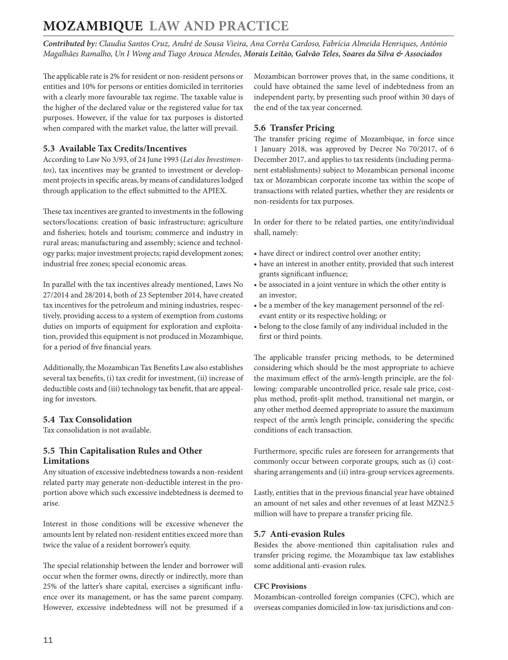<span id="page-10-0"></span>*Contributed by: Claudia Santos Cruz, André de Sousa Vieira, Ana Corrêa Cardoso, Fabrícia Almeida Henriques, António Magalhães Ramalho, Un I Wong and Tiago Arouca Mendes, Morais Leitão, Galvão Teles, Soares da Silva & Associados* 

The applicable rate is 2% for resident or non-resident persons or entities and 10% for persons or entities domiciled in territories with a clearly more favourable tax regime. The taxable value is the higher of the declared value or the registered value for tax purposes. However, if the value for tax purposes is distorted when compared with the market value, the latter will prevail.

#### **5.3 Available Tax Credits/Incentives**

According to Law No 3/93, of 24 June 1993 (*Lei dos Investimentos*), tax incentives may be granted to investment or development projects in specific areas, by means of candidatures lodged through application to the effect submitted to the APIEX.

These tax incentives are granted to investments in the following sectors/locations: creation of basic infrastructure; agriculture and fisheries; hotels and tourism; commerce and industry in rural areas; manufacturing and assembly; science and technology parks; major investment projects; rapid development zones; industrial free zones; special economic areas.

In parallel with the tax incentives already mentioned, Laws No 27/2014 and 28/2014, both of 23 September 2014, have created tax incentives for the petroleum and mining industries, respectively, providing access to a system of exemption from customs duties on imports of equipment for exploration and exploitation, provided this equipment is not produced in Mozambique, for a period of five financial years.

Additionally, the Mozambican Tax Benefits Law also establishes several tax benefits, (i) tax credit for investment, (ii) increase of deductible costs and (iii) technology tax benefit, that are appealing for investors.

#### **5.4 Tax Consolidation**

Tax consolidation is not available.

#### **5.5 Thin Capitalisation Rules and Other Limitations**

Any situation of excessive indebtedness towards a non-resident related party may generate non-deductible interest in the proportion above which such excessive indebtedness is deemed to arise.

Interest in those conditions will be excessive whenever the amounts lent by related non-resident entities exceed more than twice the value of a resident borrower's equity.

The special relationship between the lender and borrower will occur when the former owns, directly or indirectly, more than 25% of the latter's share capital, exercises a significant influence over its management, or has the same parent company. However, excessive indebtedness will not be presumed if a Mozambican borrower proves that, in the same conditions, it could have obtained the same level of indebtedness from an independent party, by presenting such proof within 30 days of the end of the tax year concerned.

#### **5.6 Transfer Pricing**

The transfer pricing regime of Mozambique, in force since 1 January 2018, was approved by Decree No 70/2017, of 6 December 2017, and applies to tax residents (including permanent establishments) subject to Mozambican personal income tax or Mozambican corporate income tax within the scope of transactions with related parties, whether they are residents or non-residents for tax purposes.

In order for there to be related parties, one entity/individual shall, namely:

- have direct or indirect control over another entity;
- have an interest in another entity, provided that such interest grants significant influence;
- be associated in a joint venture in which the other entity is an investor;
- be a member of the key management personnel of the relevant entity or its respective holding; or
- belong to the close family of any individual included in the first or third points.

The applicable transfer pricing methods, to be determined considering which should be the most appropriate to achieve the maximum effect of the arm's-length principle, are the following: comparable uncontrolled price, resale sale price, costplus method, profit-split method, transitional net margin, or any other method deemed appropriate to assure the maximum respect of the arm's length principle, considering the specific conditions of each transaction.

Furthermore, specific rules are foreseen for arrangements that commonly occur between corporate groups, such as (i) costsharing arrangements and (ii) intra-group services agreements.

Lastly, entities that in the previous financial year have obtained an amount of net sales and other revenues of at least MZN2.5 million will have to prepare a transfer pricing file.

#### **5.7 Anti-evasion Rules**

Besides the above-mentioned thin capitalisation rules and transfer pricing regime, the Mozambique tax law establishes some additional anti-evasion rules.

#### **CFC Provisions**

Mozambican-controlled foreign companies (CFC), which are overseas companies domiciled in low-tax jurisdictions and con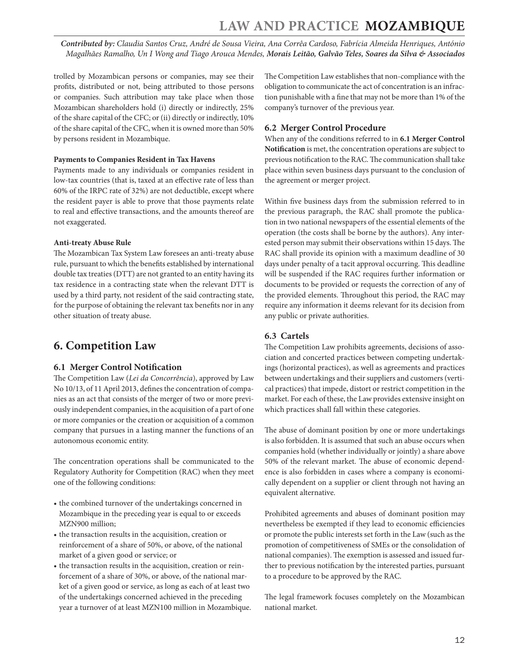<span id="page-11-0"></span>*Contributed by: Claudia Santos Cruz, André de Sousa Vieira, Ana Corrêa Cardoso, Fabrícia Almeida Henriques, António Magalhães Ramalho, Un I Wong and Tiago Arouca Mendes, Morais Leitão, Galvão Teles, Soares da Silva & Associados* 

trolled by Mozambican persons or companies, may see their profits, distributed or not, being attributed to those persons or companies. Such attribution may take place when those Mozambican shareholders hold (i) directly or indirectly, 25% of the share capital of the CFC; or (ii) directly or indirectly, 10% of the share capital of the CFC, when it is owned more than 50% by persons resident in Mozambique.

#### **Payments to Companies Resident in Tax Havens**

Payments made to any individuals or companies resident in low-tax countries (that is, taxed at an effective rate of less than 60% of the IRPC rate of 32%) are not deductible, except where the resident payer is able to prove that those payments relate to real and effective transactions, and the amounts thereof are not exaggerated.

#### **Anti-treaty Abuse Rule**

The Mozambican Tax System Law foresees an anti-treaty abuse rule, pursuant to which the benefits established by international double tax treaties (DTT) are not granted to an entity having its tax residence in a contracting state when the relevant DTT is used by a third party, not resident of the said contracting state, for the purpose of obtaining the relevant tax benefits nor in any other situation of treaty abuse.

#### **6. Competition Law**

#### **6.1 Merger Control Notification**

The Competition Law (*Lei da Concorrência*), approved by Law No 10/13, of 11 April 2013, defines the concentration of companies as an act that consists of the merger of two or more previously independent companies, in the acquisition of a part of one or more companies or the creation or acquisition of a common company that pursues in a lasting manner the functions of an autonomous economic entity.

The concentration operations shall be communicated to the Regulatory Authority for Competition (RAC) when they meet one of the following conditions:

- the combined turnover of the undertakings concerned in Mozambique in the preceding year is equal to or exceeds MZN900 million;
- the transaction results in the acquisition, creation or reinforcement of a share of 50%, or above, of the national market of a given good or service; or
- the transaction results in the acquisition, creation or reinforcement of a share of 30%, or above, of the national market of a given good or service, as long as each of at least two of the undertakings concerned achieved in the preceding year a turnover of at least MZN100 million in Mozambique.

The Competition Law establishes that non-compliance with the obligation to communicate the act of concentration is an infraction punishable with a fine that may not be more than 1% of the company's turnover of the previous year.

#### **6.2 Merger Control Procedure**

When any of the conditions referred to in **6.1 Merger Control Notification** is met, the concentration operations are subject to previous notification to the RAC. The communication shall take place within seven business days pursuant to the conclusion of the agreement or merger project.

Within five business days from the submission referred to in the previous paragraph, the RAC shall promote the publication in two national newspapers of the essential elements of the operation (the costs shall be borne by the authors). Any interested person may submit their observations within 15 days. The RAC shall provide its opinion with a maximum deadline of 30 days under penalty of a tacit approval occurring. This deadline will be suspended if the RAC requires further information or documents to be provided or requests the correction of any of the provided elements. Throughout this period, the RAC may require any information it deems relevant for its decision from any public or private authorities.

#### **6.3 Cartels**

The Competition Law prohibits agreements, decisions of association and concerted practices between competing undertakings (horizontal practices), as well as agreements and practices between undertakings and their suppliers and customers (vertical practices) that impede, distort or restrict competition in the market. For each of these, the Law provides extensive insight on which practices shall fall within these categories.

The abuse of dominant position by one or more undertakings is also forbidden. It is assumed that such an abuse occurs when companies hold (whether individually or jointly) a share above 50% of the relevant market. The abuse of economic dependence is also forbidden in cases where a company is economically dependent on a supplier or client through not having an equivalent alternative.

Prohibited agreements and abuses of dominant position may nevertheless be exempted if they lead to economic efficiencies or promote the public interests set forth in the Law (such as the promotion of competitiveness of SMEs or the consolidation of national companies). The exemption is assessed and issued further to previous notification by the interested parties, pursuant to a procedure to be approved by the RAC.

The legal framework focuses completely on the Mozambican national market.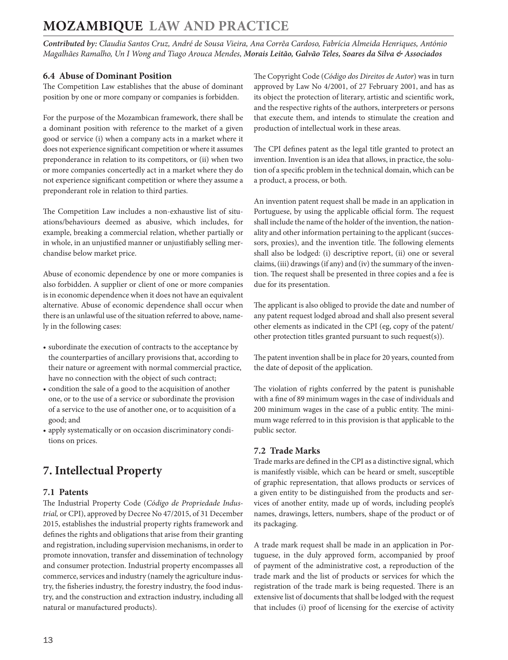<span id="page-12-0"></span>*Contributed by: Claudia Santos Cruz, André de Sousa Vieira, Ana Corrêa Cardoso, Fabrícia Almeida Henriques, António Magalhães Ramalho, Un I Wong and Tiago Arouca Mendes, Morais Leitão, Galvão Teles, Soares da Silva & Associados* 

#### **6.4 Abuse of Dominant Position**

The Competition Law establishes that the abuse of dominant position by one or more company or companies is forbidden.

For the purpose of the Mozambican framework, there shall be a dominant position with reference to the market of a given good or service (i) when a company acts in a market where it does not experience significant competition or where it assumes preponderance in relation to its competitors, or (ii) when two or more companies concertedly act in a market where they do not experience significant competition or where they assume a preponderant role in relation to third parties.

The Competition Law includes a non-exhaustive list of situations/behaviours deemed as abusive, which includes, for example, breaking a commercial relation, whether partially or in whole, in an unjustified manner or unjustifiably selling merchandise below market price.

Abuse of economic dependence by one or more companies is also forbidden. A supplier or client of one or more companies is in economic dependence when it does not have an equivalent alternative. Abuse of economic dependence shall occur when there is an unlawful use of the situation referred to above, namely in the following cases:

- subordinate the execution of contracts to the acceptance by the counterparties of ancillary provisions that, according to their nature or agreement with normal commercial practice, have no connection with the object of such contract;
- condition the sale of a good to the acquisition of another one, or to the use of a service or subordinate the provision of a service to the use of another one, or to acquisition of a good; and
- apply systematically or on occasion discriminatory conditions on prices.

## **7. Intellectual Property**

#### **7.1 Patents**

The Industrial Property Code (*Código de Propriedade Industrial,* or CPI), approved by Decree No 47/2015, of 31 December 2015, establishes the industrial property rights framework and defines the rights and obligations that arise from their granting and registration, including supervision mechanisms, in order to promote innovation, transfer and dissemination of technology and consumer protection. Industrial property encompasses all commerce, services and industry (namely the agriculture industry, the fisheries industry, the forestry industry, the food industry, and the construction and extraction industry, including all natural or manufactured products).

The Copyright Code (*Código dos Direitos de Autor*) was in turn approved by Law No 4/2001, of 27 February 2001, and has as its object the protection of literary, artistic and scientific work, and the respective rights of the authors, interpreters or persons that execute them, and intends to stimulate the creation and production of intellectual work in these areas.

The CPI defines patent as the legal title granted to protect an invention. Invention is an idea that allows, in practice, the solution of a specific problem in the technical domain, which can be a product, a process, or both.

An invention patent request shall be made in an application in Portuguese, by using the applicable official form. The request shall include the name of the holder of the invention, the nationality and other information pertaining to the applicant (successors, proxies), and the invention title. The following elements shall also be lodged: (i) descriptive report, (ii) one or several claims, (iii) drawings (if any) and (iv) the summary of the invention. The request shall be presented in three copies and a fee is due for its presentation.

The applicant is also obliged to provide the date and number of any patent request lodged abroad and shall also present several other elements as indicated in the CPI (eg, copy of the patent/ other protection titles granted pursuant to such request(s)).

The patent invention shall be in place for 20 years, counted from the date of deposit of the application.

The violation of rights conferred by the patent is punishable with a fine of 89 minimum wages in the case of individuals and 200 minimum wages in the case of a public entity. The minimum wage referred to in this provision is that applicable to the public sector.

#### **7.2 Trade Marks**

Trade marks are defined in the CPI as a distinctive signal, which is manifestly visible, which can be heard or smelt, susceptible of graphic representation, that allows products or services of a given entity to be distinguished from the products and services of another entity, made up of words, including people's names, drawings, letters, numbers, shape of the product or of its packaging.

A trade mark request shall be made in an application in Portuguese, in the duly approved form, accompanied by proof of payment of the administrative cost, a reproduction of the trade mark and the list of products or services for which the registration of the trade mark is being requested. There is an extensive list of documents that shall be lodged with the request that includes (i) proof of licensing for the exercise of activity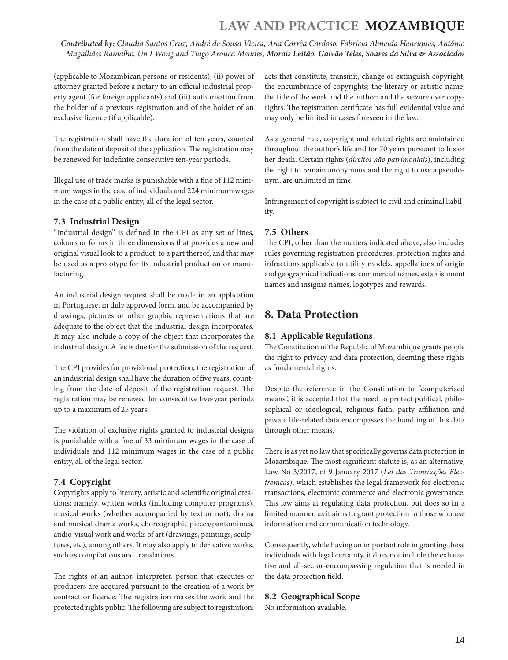<span id="page-13-0"></span>*Contributed by: Claudia Santos Cruz, André de Sousa Vieira, Ana Corrêa Cardoso, Fabrícia Almeida Henriques, António Magalhães Ramalho, Un I Wong and Tiago Arouca Mendes, Morais Leitão, Galvão Teles, Soares da Silva & Associados* 

(applicable to Mozambican persons or residents), (ii) power of attorney granted before a notary to an official industrial property agent (for foreign applicants) and (iii) authorisation from the holder of a previous registration and of the holder of an exclusive licence (if applicable).

The registration shall have the duration of ten years, counted from the date of deposit of the application. The registration may be renewed for indefinite consecutive ten-year periods.

Illegal use of trade marks is punishable with a fine of 112 minimum wages in the case of individuals and 224 minimum wages in the case of a public entity, all of the legal sector.

#### **7.3 Industrial Design**

"Industrial design" is defined in the CPI as any set of lines, colours or forms in three dimensions that provides a new and original visual look to a product, to a part thereof, and that may be used as a prototype for its industrial production or manufacturing.

An industrial design request shall be made in an application in Portuguese, in duly approved form, and be accompanied by drawings, pictures or other graphic representations that are adequate to the object that the industrial design incorporates. It may also include a copy of the object that incorporates the industrial design. A fee is due for the submission of the request.

The CPI provides for provisional protection; the registration of an industrial design shall have the duration of five years, counting from the date of deposit of the registration request. The registration may be renewed for consecutive five-year periods up to a maximum of 25 years.

The violation of exclusive rights granted to industrial designs is punishable with a fine of 33 minimum wages in the case of individuals and 112 minimum wages in the case of a public entity, all of the legal sector.

#### **7.4 Copyright**

Copyrights apply to literary, artistic and scientific original creations; namely, written works (including computer programs), musical works (whether accompanied by text or not), drama and musical drama works, choreographic pieces/pantomimes, audio-visual work and works of art (drawings, paintings, sculptures, etc), among others. It may also apply to derivative works, such as compilations and translations.

The rights of an author, interpreter, person that executes or producers are acquired pursuant to the creation of a work by contract or licence. The registration makes the work and the protected rights public. The following are subject to registration:

acts that constitute, transmit, change or extinguish copyright; the encumbrance of copyrights; the literary or artistic name; the title of the work and the author; and the seizure over copyrights. The registration certificate has full evidential value and may only be limited in cases foreseen in the law.

As a general rule, copyright and related rights are maintained throughout the author's life and for 70 years pursuant to his or her death. Certain rights (*direitos não patrimoniais*), including the right to remain anonymous and the right to use a pseudonym, are unlimited in time.

Infringement of copyright is subject to civil and criminal liability.

#### **7.5 Others**

The CPI, other than the matters indicated above, also includes rules governing registration procedures, protection rights and infractions applicable to utility models, appellations of origin and geographical indications, commercial names, establishment names and insignia names, logotypes and rewards.

#### **8. Data Protection**

#### **8.1 Applicable Regulations**

The Constitution of the Republic of Mozambique grants people the right to privacy and data protection, deeming these rights as fundamental rights.

Despite the reference in the Constitution to "computerised means", it is accepted that the need to protect political, philosophical or ideological, religious faith, party affiliation and private life-related data encompasses the handling of this data through other means.

There is as yet no law that specifically governs data protection in Mozambique. The most significant statute is, as an alternative, Law No 3/2017, of 9 January 2017 (*Lei das Transacções Electrónicas*), which establishes the legal framework for electronic transactions, electronic commerce and electronic governance. This law aims at regulating data protection, but does so in a limited manner, as it aims to grant protection to those who use information and communication technology.

Consequently, while having an important role in granting these individuals with legal certainty, it does not include the exhaustive and all-sector-encompassing regulation that is needed in the data protection field.

#### **8.2 Geographical Scope**

No information available.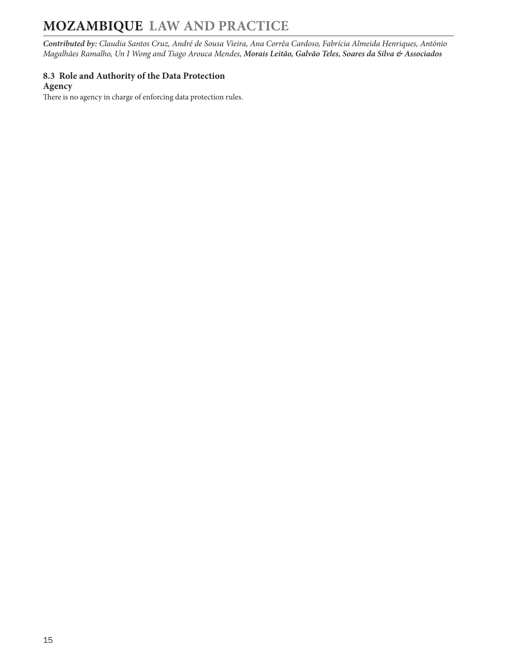<span id="page-14-0"></span>*Contributed by: Claudia Santos Cruz, André de Sousa Vieira, Ana Corrêa Cardoso, Fabrícia Almeida Henriques, António Magalhães Ramalho, Un I Wong and Tiago Arouca Mendes, Morais Leitão, Galvão Teles, Soares da Silva & Associados* 

#### **8.3 Role and Authority of the Data Protection Agency**

There is no agency in charge of enforcing data protection rules.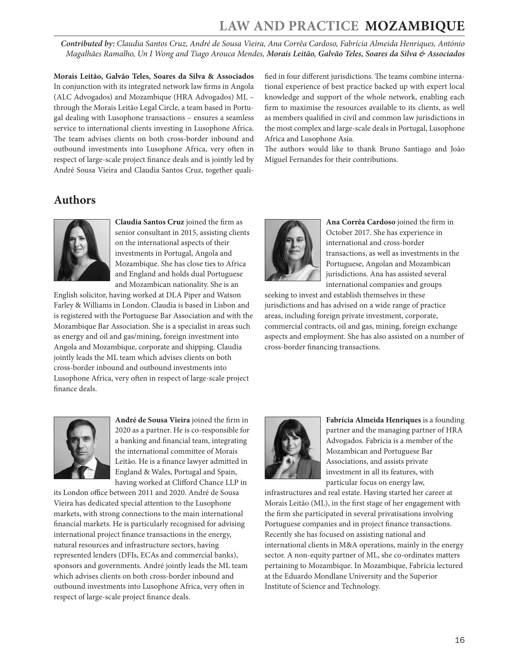*Contributed by: Claudia Santos Cruz, André de Sousa Vieira, Ana Corrêa Cardoso, Fabrícia Almeida Henriques, António Magalhães Ramalho, Un I Wong and Tiago Arouca Mendes, Morais Leitão, Galvão Teles, Soares da Silva & Associados* 

**Morais Leitão, Galvão Teles, Soares da Silva & Associados**  In conjunction with its integrated network law firms in Angola (ALC Advogados) and Mozambique (HRA Advogados) ML – through the Morais Leitão Legal Circle, a team based in Portugal dealing with Lusophone transactions – ensures a seamless service to international clients investing in Lusophone Africa. The team advises clients on both cross-border inbound and outbound investments into Lusophone Africa, very often in respect of large-scale project finance deals and is jointly led by André Sousa Vieira and Claudia Santos Cruz, together quali-

#### fied in four different jurisdictions. The teams combine international experience of best practice backed up with expert local knowledge and support of the whole network, enabling each firm to maximise the resources available to its clients, as well as members qualified in civil and common law jurisdictions in the most complex and large-scale deals in Portugal, Lusophone Africa and Lusophone Asia.

The authors would like to thank Bruno Santiago and João Miguel Fernandes for their contributions.

### <span id="page-15-0"></span>**Authors**



**Claudia Santos Cruz** joined the firm as senior consultant in 2015, assisting clients on the international aspects of their investments in Portugal, Angola and Mozambique. She has close ties to Africa and England and holds dual Portuguese and Mozambican nationality. She is an

English solicitor, having worked at DLA Piper and Watson Farley & Williams in London. Claudia is based in Lisbon and is registered with the Portuguese Bar Association and with the Mozambique Bar Association. She is a specialist in areas such as energy and oil and gas/mining, foreign investment into Angola and Mozambique, corporate and shipping. Claudia jointly leads the ML team which advises clients on both cross-border inbound and outbound investments into Lusophone Africa, very often in respect of large-scale project finance deals.



**Ana Corrêa Cardoso** joined the firm in October 2017. She has experience in international and cross-border transactions, as well as investments in the Portuguese, Angolan and Mozambican jurisdictions. Ana has assisted several international companies and groups

seeking to invest and establish themselves in these jurisdictions and has advised on a wide range of practice areas, including foreign private investment, corporate, commercial contracts, oil and gas, mining, foreign exchange aspects and employment. She has also assisted on a number of cross-border financing transactions.



**André de Sousa Vieira** joined the firm in 2020 as a partner. He is co-responsible for a banking and financial team, integrating the international committee of Morais Leitão. He is a finance lawyer admitted in England & Wales, Portugal and Spain, having worked at Clifford Chance LLP in

its London office between 2011 and 2020. André de Sousa Vieira has dedicated special attention to the Lusophone markets, with strong connections to the main international financial markets. He is particularly recognised for advising international project finance transactions in the energy, natural resources and infrastructure sectors, having represented lenders (DFIs, ECAs and commercial banks), sponsors and governments. André jointly leads the ML team which advises clients on both cross-border inbound and outbound investments into Lusophone Africa, very often in respect of large-scale project finance deals.



**Fabrícia Almeida Henriques** is a founding partner and the managing partner of HRA Advogados. Fabrícia is a member of the Mozambican and Portuguese Bar Associations, and assists private investment in all its features, with particular focus on energy law,

infrastructures and real estate. Having started her career at Morais Leitão (ML), in the first stage of her engagement with the firm she participated in several privatisations involving Portuguese companies and in project finance transactions. Recently she has focused on assisting national and international clients in M&A operations, mainly in the energy sector. A non-equity partner of ML, she co-ordinates matters pertaining to Mozambique. In Mozambique, Fabrícia lectured at the Eduardo Mondlane University and the Superior Institute of Science and Technology.